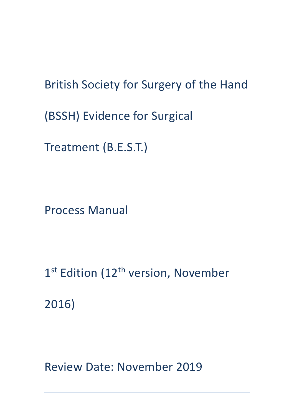# British Society for Surgery of the Hand

# (BSSH) Evidence for Surgical

Treatment (B.E.S.T.)

Process Manual

1<sup>st</sup> Edition (12<sup>th</sup> version, November 2016)

Review Date: November 2019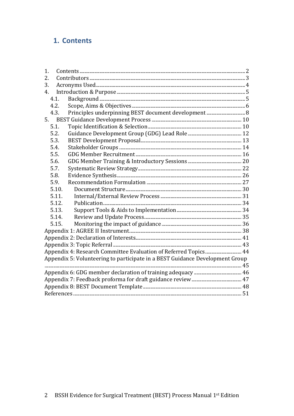# 1. Contents

| 1.                                                              |       |                                                                              |  |  |  |
|-----------------------------------------------------------------|-------|------------------------------------------------------------------------------|--|--|--|
| 2.                                                              |       |                                                                              |  |  |  |
| 3.                                                              |       |                                                                              |  |  |  |
| 4.                                                              |       |                                                                              |  |  |  |
|                                                                 | 4.1.  |                                                                              |  |  |  |
|                                                                 | 4.2.  |                                                                              |  |  |  |
|                                                                 | 4.3.  | Principles underpinning BEST document development  8                         |  |  |  |
| 5.                                                              |       |                                                                              |  |  |  |
|                                                                 | 5.1.  |                                                                              |  |  |  |
|                                                                 | 5.2.  |                                                                              |  |  |  |
|                                                                 | 5.3.  |                                                                              |  |  |  |
|                                                                 | 5.4.  |                                                                              |  |  |  |
|                                                                 | 5.5.  |                                                                              |  |  |  |
|                                                                 | 5.6.  |                                                                              |  |  |  |
|                                                                 | 5.7.  |                                                                              |  |  |  |
|                                                                 | 5.8.  |                                                                              |  |  |  |
|                                                                 | 5.9.  |                                                                              |  |  |  |
|                                                                 | 5.10. |                                                                              |  |  |  |
|                                                                 | 5.11. |                                                                              |  |  |  |
|                                                                 | 5.12. |                                                                              |  |  |  |
|                                                                 | 5.13. |                                                                              |  |  |  |
|                                                                 | 5.14. |                                                                              |  |  |  |
|                                                                 | 5.15. |                                                                              |  |  |  |
|                                                                 |       |                                                                              |  |  |  |
|                                                                 |       |                                                                              |  |  |  |
|                                                                 |       |                                                                              |  |  |  |
| Appendix 4: Research Committee Evaluation of Referred Topics 44 |       |                                                                              |  |  |  |
|                                                                 |       | Appendix 5: Volunteering to participate in a BEST Guidance Development Group |  |  |  |
|                                                                 |       |                                                                              |  |  |  |
|                                                                 |       |                                                                              |  |  |  |
|                                                                 |       |                                                                              |  |  |  |
|                                                                 |       |                                                                              |  |  |  |
|                                                                 |       |                                                                              |  |  |  |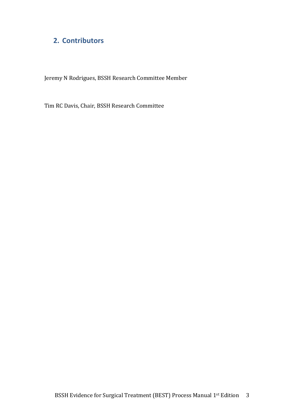# **2. Contributors**

Jeremy N Rodrigues, BSSH Research Committee Member

Tim RC Davis, Chair, BSSH Research Committee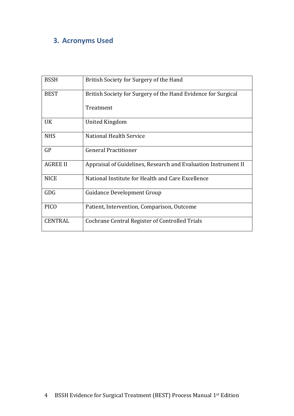# **3. Acronyms Used**

| <b>BSSH</b>     | British Society for Surgery of the Hand                        |
|-----------------|----------------------------------------------------------------|
| <b>BEST</b>     | British Society for Surgery of the Hand Evidence for Surgical  |
|                 | Treatment                                                      |
| <b>UK</b>       | United Kingdom                                                 |
| <b>NHS</b>      | National Health Service                                        |
| GP              | <b>General Practitioner</b>                                    |
| <b>AGREE II</b> | Appraisal of Guidelines, Research and Evaluation Instrument II |
| <b>NICE</b>     | National Institute for Health and Care Excellence              |
| GDG             | <b>Guidance Development Group</b>                              |
| <b>PICO</b>     | Patient, Intervention, Comparison, Outcome                     |
| <b>CENTRAL</b>  | Cochrane Central Register of Controlled Trials                 |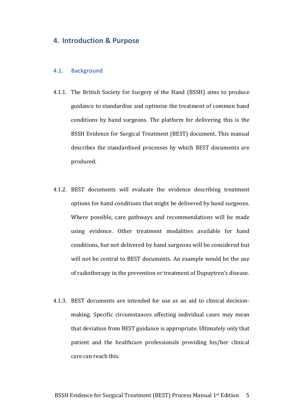# **4. Introduction & Purpose**

### **4.1. Background**

- 4.1.1. The British Society for Surgery of the Hand (BSSH) aims to produce guidance to standardise and optimise the treatment of common hand conditions by hand surgeons. The platform for delivering this is the BSSH Evidence for Surgical Treatment (BEST) document. This manual describes the standardised processes by which BEST documents are produced.
- 4.1.2. BEST documents will evaluate the evidence describing treatment options for hand conditions that might be delivered by hand surgeons. Where possible, care pathways and recommendations will be made using evidence. Other treatment modalities available for hand conditions, but not delivered by hand surgeons will be considered but will not be central to BEST documents. An example would be the use of radiotherapy in the prevention or treatment of Dupuytren's disease.
- 4.1.3. BEST documents are intended for use as an aid to clinical decisionmaking. Specific circumstances affecting individual cases may mean that deviation from BEST guidance is appropriate. Ultimately only that patient and the healthcare professionals providing his/her clinical care can reach this.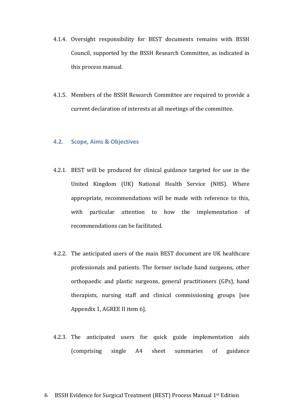- 4.1.4. Oversight responsibility for BEST documents remains with BSSH Council, supported by the BSSH Research Committee, as indicated in this process manual.
- 4.1.5. Members of the BSSH Research Committee are required to provide a current declaration of interests at all meetings of the committee.

#### **4.2. Scope, Aims & Objectives**

- 4.2.1. BEST will be produced for clinical guidance targeted for use in the United Kingdom (UK) National Health Service (NHS). Where appropriate, recommendations will be made with reference to this, with particular attention to how the implementation of recommendations can be facilitated.
- 4.2.2. The anticipated users of the main BEST document are UK healthcare professionals and patients. The former include hand surgeons, other orthopaedic and plastic surgeons, general practitioners (GPs), hand therapists, nursing staff and clinical commissioning groups [see Appendix 1, AGREE II item 6].
- 4.2.3. The anticipated users for quick guide implementation aids (comprising single A4 sheet summaries of guidance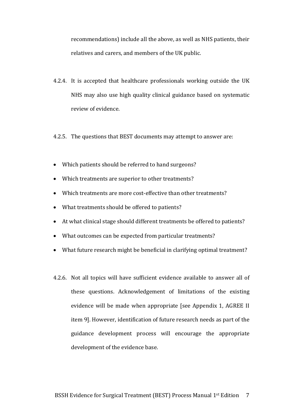recommendations) include all the above, as well as NHS patients, their relatives and carers, and members of the UK public.

- 4.2.4. It is accepted that healthcare professionals working outside the UK NHS may also use high quality clinical guidance based on systematic review of evidence.
- 4.2.5. The questions that BEST documents may attempt to answer are:
- Which patients should be referred to hand surgeons?
- Which treatments are superior to other treatments?
- Which treatments are more cost-effective than other treatments?
- What treatments should be offered to patients?
- At what clinical stage should different treatments be offered to patients?
- What outcomes can be expected from particular treatments?
- What future research might be beneficial in clarifying optimal treatment?
- 4.2.6. Not all topics will have sufficient evidence available to answer all of these questions. Acknowledgement of limitations of the existing evidence will be made when appropriate [see Appendix 1, AGREE II item 9]. However, identification of future research needs as part of the guidance development process will encourage the appropriate development of the evidence base.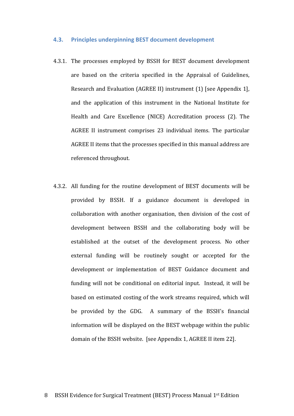#### **4.3. Principles underpinning BEST document development**

- 4.3.1. The processes employed by BSSH for BEST document development are based on the criteria specified in the Appraisal of Guidelines, Research and Evaluation (AGREE II) instrument [\(1\)](#page-51-0) [see Appendix 1], and the application of this instrument in the National Institute for Health and Care Excellence (NICE) Accreditation process [\(2\)](#page-51-1). The AGREE II instrument comprises 23 individual items. The particular AGREE II items that the processes specified in this manual address are referenced throughout.
- 4.3.2. All funding for the routine development of BEST documents will be provided by BSSH. If a guidance document is developed in collaboration with another organisation, then division of the cost of development between BSSH and the collaborating body will be established at the outset of the development process. No other external funding will be routinely sought or accepted for the development or implementation of BEST Guidance document and funding will not be conditional on editorial input. Instead, it will be based on estimated costing of the work streams required, which will be provided by the GDG. A summary of the BSSH's financial information will be displayed on the BEST webpage within the public domain of the BSSH website. [see Appendix 1, AGREE II item 22].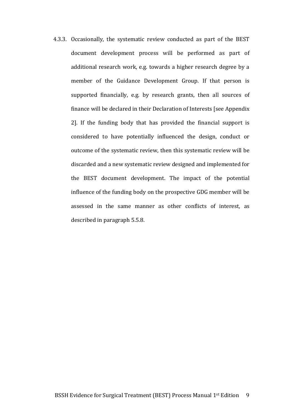4.3.3. Occasionally, the systematic review conducted as part of the BEST document development process will be performed as part of additional research work, e.g. towards a higher research degree by a member of the Guidance Development Group. If that person is supported financially, e.g. by research grants, then all sources of finance will be declared in their Declaration of Interests [see Appendix 2]. If the funding body that has provided the financial support is considered to have potentially influenced the design, conduct or outcome of the systematic review, then this systematic review will be discarded and a new systematic review designed and implemented for the BEST document development. The impact of the potential influence of the funding body on the prospective GDG member will be assessed in the same manner as other conflicts of interest, as described in paragraph 5.5.8.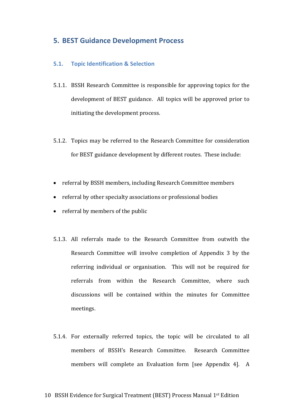# **5. BEST Guidance Development Process**

## **5.1. Topic Identification & Selection**

- 5.1.1. BSSH Research Committee is responsible for approving topics for the development of BEST guidance. All topics will be approved prior to initiating the development process.
- 5.1.2. Topics may be referred to the Research Committee for consideration for BEST guidance development by different routes. These include:
- referral by BSSH members, including Research Committee members
- referral by other specialty associations or professional bodies
- referral by members of the public
- 5.1.3. All referrals made to the Research Committee from outwith the Research Committee will involve completion of Appendix 3 by the referring individual or organisation. This will not be required for referrals from within the Research Committee, where such discussions will be contained within the minutes for Committee meetings.
- 5.1.4. For externally referred topics, the topic will be circulated to all members of BSSH's Research Committee. Research Committee members will complete an Evaluation form [see Appendix 4]. A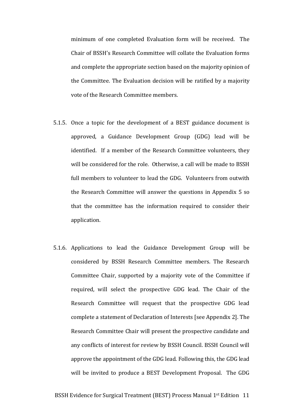minimum of one completed Evaluation form will be received. The Chair of BSSH's Research Committee will collate the Evaluation forms and complete the appropriate section based on the majority opinion of the Committee. The Evaluation decision will be ratified by a majority vote of the Research Committee members.

- 5.1.5. Once a topic for the development of a BEST guidance document is approved, a Guidance Development Group (GDG) lead will be identified. If a member of the Research Committee volunteers, they will be considered for the role. Otherwise, a call will be made to BSSH full members to volunteer to lead the GDG. Volunteers from outwith the Research Committee will answer the questions in Appendix 5 so that the committee has the information required to consider their application.
- 5.1.6. Applications to lead the Guidance Development Group will be considered by BSSH Research Committee members. The Research Committee Chair, supported by a majority vote of the Committee if required, will select the prospective GDG lead. The Chair of the Research Committee will request that the prospective GDG lead complete a statement of Declaration of Interests [see Appendix 2]. The Research Committee Chair will present the prospective candidate and any conflicts of interest for review by BSSH Council. BSSH Council will approve the appointment of the GDG lead. Following this, the GDG lead will be invited to produce a BEST Development Proposal. The GDG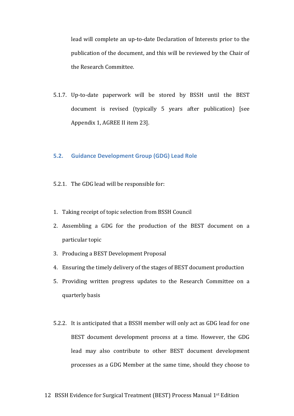lead will complete an up-to-date Declaration of Interests prior to the publication of the document, and this will be reviewed by the Chair of the Research Committee.

- 5.1.7. Up-to-date paperwork will be stored by BSSH until the BEST document is revised (typically 5 years after publication) [see Appendix 1, AGREE II item 23].
- **5.2. Guidance Development Group (GDG) Lead Role**
- 5.2.1. The GDG lead will be responsible for:
- 1. Taking receipt of topic selection from BSSH Council
- 2. Assembling a GDG for the production of the BEST document on a particular topic
- 3. Producing a BEST Development Proposal
- 4. Ensuring the timely delivery of the stages of BEST document production
- 5. Providing written progress updates to the Research Committee on a quarterly basis
- 5.2.2. It is anticipated that a BSSH member will only act as GDG lead for one BEST document development process at a time. However, the GDG lead may also contribute to other BEST document development processes as a GDG Member at the same time, should they choose to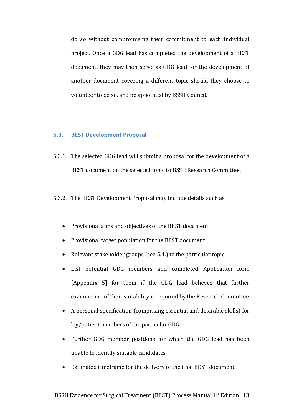do so without compromising their commitment to each individual project. Once a GDG lead has completed the development of a BEST document, they may then serve as GDG lead for the development of another document covering a different topic should they choose to volunteer to do so, and be appointed by BSSH Council.

## **5.3. BEST Development Proposal**

5.3.1. The selected GDG lead will submit a proposal for the development of a BEST document on the selected topic to BSSH Research Committee.

5.3.2. The BEST Development Proposal may include details such as:

- Provisional aims and objectives of the BEST document
- Provisional target population for the BEST document
- Relevant stakeholder groups (see 5.4.) to the particular topic
- List potential GDG members and completed Application form [Appendix 5] for them if the GDG lead believes that further examination of their suitability is required by the Research Committee
- A personal specification (comprising essential and desirable skills) for lay/patient members of the particular GDG
- Further GDG member positions for which the GDG lead has been unable to identify suitable candidates
- Estimated timeframe for the delivery of the final BEST document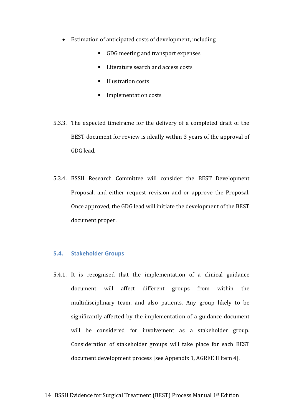- Estimation of anticipated costs of development, including
	- GDG meeting and transport expenses
	- Literature search and access costs
	- **Illustration costs**
	- **Implementation costs**
- 5.3.3. The expected timeframe for the delivery of a completed draft of the BEST document for review is ideally within 3 years of the approval of GDG lead.
- 5.3.4. BSSH Research Committee will consider the BEST Development Proposal, and either request revision and or approve the Proposal. Once approved, the GDG lead will initiate the development of the BEST document proper.

# **5.4. Stakeholder Groups**

5.4.1. It is recognised that the implementation of a clinical guidance document will affect different groups from within the multidisciplinary team, and also patients. Any group likely to be significantly affected by the implementation of a guidance document will be considered for involvement as a stakeholder group. Consideration of stakeholder groups will take place for each BEST document development process [see Appendix 1, AGREE II item 4].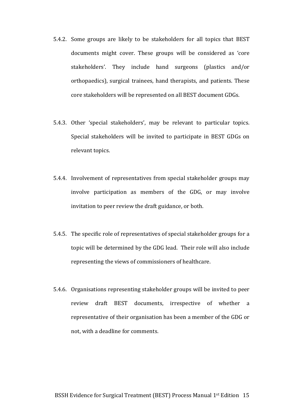- 5.4.2. Some groups are likely to be stakeholders for all topics that BEST documents might cover. These groups will be considered as 'core stakeholders'. They include hand surgeons (plastics and/or orthopaedics), surgical trainees, hand therapists, and patients. These core stakeholders will be represented on all BEST document GDGs.
- 5.4.3. Other 'special stakeholders', may be relevant to particular topics. Special stakeholders will be invited to participate in BEST GDGs on relevant topics.
- 5.4.4. Involvement of representatives from special stakeholder groups may involve participation as members of the GDG, or may involve invitation to peer review the draft guidance, or both.
- 5.4.5. The specific role of representatives of special stakeholder groups for a topic will be determined by the GDG lead. Their role will also include representing the views of commissioners of healthcare.
- 5.4.6. Organisations representing stakeholder groups will be invited to peer review draft BEST documents, irrespective of whether a representative of their organisation has been a member of the GDG or not, with a deadline for comments.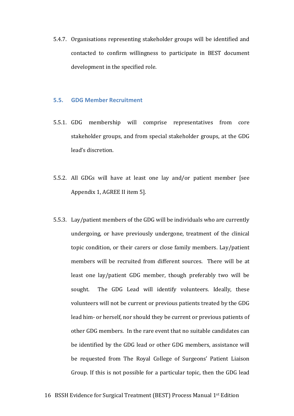5.4.7. Organisations representing stakeholder groups will be identified and contacted to confirm willingness to participate in BEST document development in the specified role.

# **5.5. GDG Member Recruitment**

- 5.5.1. GDG membership will comprise representatives from core stakeholder groups, and from special stakeholder groups, at the GDG lead's discretion.
- 5.5.2. All GDGs will have at least one lay and/or patient member [see Appendix 1, AGREE II item 5].
- 5.5.3. Lay/patient members of the GDG will be individuals who are currently undergoing, or have previously undergone, treatment of the clinical topic condition, or their carers or close family members. Lay/patient members will be recruited from different sources. There will be at least one lay/patient GDG member, though preferably two will be sought. The GDG Lead will identify volunteers. Ideally, these volunteers will not be current or previous patients treated by the GDG lead him- or herself, nor should they be current or previous patients of other GDG members. In the rare event that no suitable candidates can be identified by the GDG lead or other GDG members, assistance will be requested from The Royal College of Surgeons' Patient Liaison Group. If this is not possible for a particular topic, then the GDG lead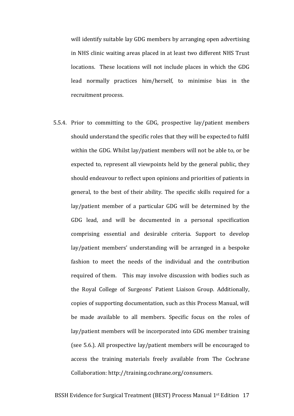will identify suitable lay GDG members by arranging open advertising in NHS clinic waiting areas placed in at least two different NHS Trust locations. These locations will not include places in which the GDG lead normally practices him/herself, to minimise bias in the recruitment process.

5.5.4. Prior to committing to the GDG, prospective lay/patient members should understand the specific roles that they will be expected to fulfil within the GDG. Whilst lay/patient members will not be able to, or be expected to, represent all viewpoints held by the general public, they should endeavour to reflect upon opinions and priorities of patients in general, to the best of their ability. The specific skills required for a lay/patient member of a particular GDG will be determined by the GDG lead, and will be documented in a personal specification comprising essential and desirable criteria. Support to develop lay/patient members' understanding will be arranged in a bespoke fashion to meet the needs of the individual and the contribution required of them. This may involve discussion with bodies such as the Royal College of Surgeons' Patient Liaison Group. Additionally, copies of supporting documentation, such as this Process Manual, will be made available to all members. Specific focus on the roles of lay/patient members will be incorporated into GDG member training (see 5.6.). All prospective lay/patient members will be encouraged to access the training materials freely available from The Cochrane Collaboration: http://training.cochrane.org/consumers.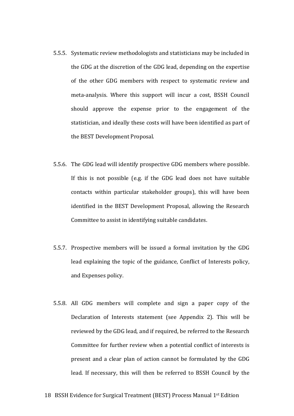- 5.5.5. Systematic review methodologists and statisticians may be included in the GDG at the discretion of the GDG lead, depending on the expertise of the other GDG members with respect to systematic review and meta-analysis. Where this support will incur a cost, BSSH Council should approve the expense prior to the engagement of the statistician, and ideally these costs will have been identified as part of the BEST Development Proposal.
- 5.5.6. The GDG lead will identify prospective GDG members where possible. If this is not possible (e.g. if the GDG lead does not have suitable contacts within particular stakeholder groups), this will have been identified in the BEST Development Proposal, allowing the Research Committee to assist in identifying suitable candidates.
- 5.5.7. Prospective members will be issued a formal invitation by the GDG lead explaining the topic of the guidance, Conflict of Interests policy, and Expenses policy.
- 5.5.8. All GDG members will complete and sign a paper copy of the Declaration of Interests statement (see Appendix 2). This will be reviewed by the GDG lead, and if required, be referred to the Research Committee for further review when a potential conflict of interests is present and a clear plan of action cannot be formulated by the GDG lead. If necessary, this will then be referred to BSSH Council by the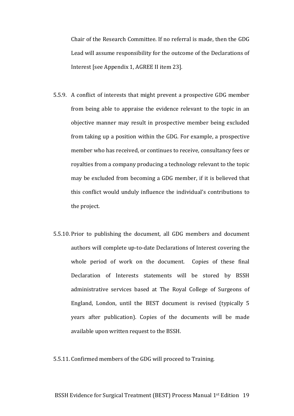Chair of the Research Committee. If no referral is made, then the GDG Lead will assume responsibility for the outcome of the Declarations of Interest [see Appendix 1, AGREE II item 23].

- 5.5.9. A conflict of interests that might prevent a prospective GDG member from being able to appraise the evidence relevant to the topic in an objective manner may result in prospective member being excluded from taking up a position within the GDG. For example, a prospective member who has received, or continues to receive, consultancy fees or royalties from a company producing a technology relevant to the topic may be excluded from becoming a GDG member, if it is believed that this conflict would unduly influence the individual's contributions to the project.
- 5.5.10. Prior to publishing the document, all GDG members and document authors will complete up-to-date Declarations of Interest covering the whole period of work on the document. Copies of these final Declaration of Interests statements will be stored by BSSH administrative services based at The Royal College of Surgeons of England, London, until the BEST document is revised (typically 5 years after publication). Copies of the documents will be made available upon written request to the BSSH.
- 5.5.11. Confirmed members of the GDG will proceed to Training.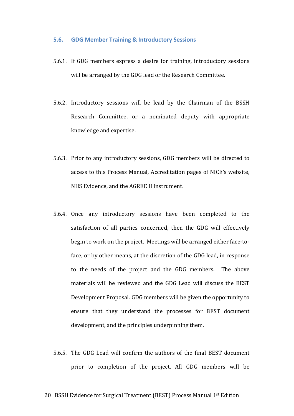#### **5.6. GDG Member Training & Introductory Sessions**

- 5.6.1. If GDG members express a desire for training, introductory sessions will be arranged by the GDG lead or the Research Committee.
- 5.6.2. Introductory sessions will be lead by the Chairman of the BSSH Research Committee, or a nominated deputy with appropriate knowledge and expertise.
- 5.6.3. Prior to any introductory sessions, GDG members will be directed to access to this Process Manual, Accreditation pages of NICE's website, NHS Evidence, and the AGREE II Instrument.
- 5.6.4. Once any introductory sessions have been completed to the satisfaction of all parties concerned, then the GDG will effectively begin to work on the project. Meetings will be arranged either face-toface, or by other means, at the discretion of the GDG lead, in response to the needs of the project and the GDG members. The above materials will be reviewed and the GDG Lead will discuss the BEST Development Proposal. GDG members will be given the opportunity to ensure that they understand the processes for BEST document development, and the principles underpinning them.
- 5.6.5. The GDG Lead will confirm the authors of the final BEST document prior to completion of the project. All GDG members will be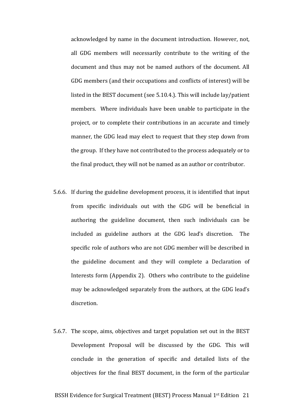acknowledged by name in the document introduction. However, not, all GDG members will necessarily contribute to the writing of the document and thus may not be named authors of the document. All GDG members (and their occupations and conflicts of interest) will be listed in the BEST document (see 5.10.4.). This will include lay/patient members. Where individuals have been unable to participate in the project, or to complete their contributions in an accurate and timely manner, the GDG lead may elect to request that they step down from the group. If they have not contributed to the process adequately or to the final product, they will not be named as an author or contributor.

- 5.6.6. If during the guideline development process, it is identified that input from specific individuals out with the GDG will be beneficial in authoring the guideline document, then such individuals can be included as guideline authors at the GDG lead's discretion. The specific role of authors who are not GDG member will be described in the guideline document and they will complete a Declaration of Interests form (Appendix 2). Others who contribute to the guideline may be acknowledged separately from the authors, at the GDG lead's discretion.
- 5.6.7. The scope, aims, objectives and target population set out in the BEST Development Proposal will be discussed by the GDG. This will conclude in the generation of specific and detailed lists of the objectives for the final BEST document, in the form of the particular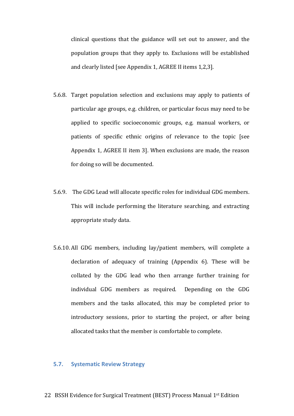clinical questions that the guidance will set out to answer, and the population groups that they apply to. Exclusions will be established and clearly listed [see Appendix 1, AGREE II items 1,2,3].

- 5.6.8. Target population selection and exclusions may apply to patients of particular age groups, e.g. children, or particular focus may need to be applied to specific socioeconomic groups, e.g. manual workers, or patients of specific ethnic origins of relevance to the topic [see Appendix 1, AGREE II item 3]. When exclusions are made, the reason for doing so will be documented.
- 5.6.9. The GDG Lead will allocate specific roles for individual GDG members. This will include performing the literature searching, and extracting appropriate study data.
- 5.6.10. All GDG members, including lay/patient members, will complete a declaration of adequacy of training (Appendix 6). These will be collated by the GDG lead who then arrange further training for individual GDG members as required. Depending on the GDG members and the tasks allocated, this may be completed prior to introductory sessions, prior to starting the project, or after being allocated tasks that the member is comfortable to complete.

#### **5.7. Systematic Review Strategy**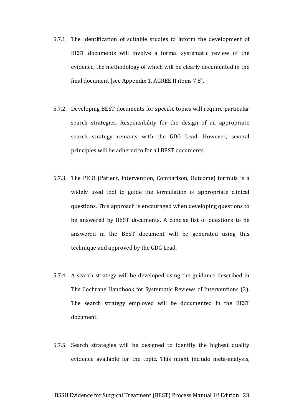- 5.7.1. The identification of suitable studies to inform the development of BEST documents will involve a formal systematic review of the evidence, the methodology of which will be clearly documented in the final document [see Appendix 1, AGREE II items 7,8].
- 5.7.2. Developing BEST documents for specific topics will require particular search strategies. Responsibility for the design of an appropriate search strategy remains with the GDG Lead. However, several principles will be adhered to for all BEST documents.
- 5.7.3. The PICO (Patient, Intervention, Comparison, Outcome) formula is a widely used tool to guide the formulation of appropriate clinical questions. This approach is encouraged when developing questions to be answered by BEST documents. A concise list of questions to be answered in the BEST document will be generated using this technique and approved by the GDG Lead.
- 5.7.4. A search strategy will be developed using the guidance described in The Cochrane Handbook for Systematic Reviews of Interventions [\(3\)](#page-51-2). The search strategy employed will be documented in the BEST document.
- 5.7.5. Search strategies will be designed to identify the highest quality evidence available for the topic. This might include meta-analysis,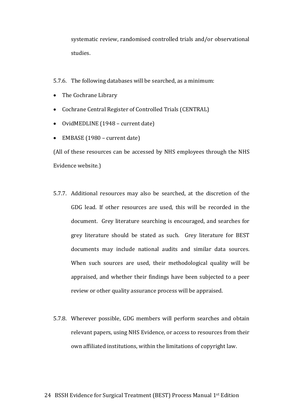systematic review, randomised controlled trials and/or observational studies.

5.7.6. The following databases will be searched, as a minimum:

- The Cochrane Library
- Cochrane Central Register of Controlled Trials (CENTRAL)
- OvidMEDLINE (1948 current date)
- EMBASE (1980 current date)

(All of these resources can be accessed by NHS employees through the NHS Evidence website.)

- 5.7.7. Additional resources may also be searched, at the discretion of the GDG lead. If other resources are used, this will be recorded in the document. Grey literature searching is encouraged, and searches for grey literature should be stated as such. Grey literature for BEST documents may include national audits and similar data sources. When such sources are used, their methodological quality will be appraised, and whether their findings have been subjected to a peer review or other quality assurance process will be appraised.
- 5.7.8. Wherever possible, GDG members will perform searches and obtain relevant papers, using NHS Evidence, or access to resources from their own affiliated institutions, within the limitations of copyright law.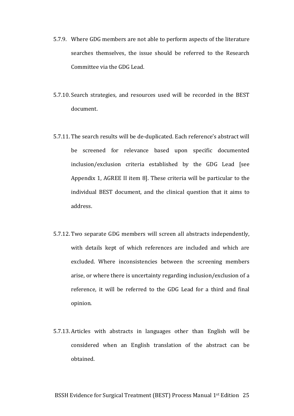- 5.7.9. Where GDG members are not able to perform aspects of the literature searches themselves, the issue should be referred to the Research Committee via the GDG Lead.
- 5.7.10. Search strategies, and resources used will be recorded in the BEST document.
- 5.7.11. The search results will be de-duplicated. Each reference's abstract will be screened for relevance based upon specific documented inclusion/exclusion criteria established by the GDG Lead [see Appendix 1, AGREE II item 8]. These criteria will be particular to the individual BEST document, and the clinical question that it aims to address.
- 5.7.12. Two separate GDG members will screen all abstracts independently, with details kept of which references are included and which are excluded. Where inconsistencies between the screening members arise, or where there is uncertainty regarding inclusion/exclusion of a reference, it will be referred to the GDG Lead for a third and final opinion.
- 5.7.13. Articles with abstracts in languages other than English will be considered when an English translation of the abstract can be obtained.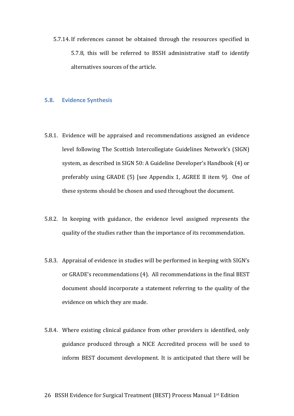5.7.14. If references cannot be obtained through the resources specified in 5.7.8, this will be referred to BSSH administrative staff to identify alternatives sources of the article.

## **5.8. Evidence Synthesis**

- 5.8.1. Evidence will be appraised and recommendations assigned an evidence level following The Scottish Intercollegiate Guidelines Network's (SIGN) system, as described in SIGN 50: A Guideline Developer's Handbook [\(4\)](#page-51-3) or preferably using GRADE [\(5\)](#page-51-4) [see Appendix 1, AGREE II item 9]. One of these systems should be chosen and used throughout the document.
- 5.8.2. In keeping with guidance, the evidence level assigned represents the quality of the studies rather than the importance of its recommendation.
- 5.8.3. Appraisal of evidence in studies will be performed in keeping with SIGN's or GRADE's recommendations [\(4\)](#page-51-3). All recommendations in the final BEST document should incorporate a statement referring to the quality of the evidence on which they are made.
- 5.8.4. Where existing clinical guidance from other providers is identified, only guidance produced through a NICE Accredited process will be used to inform BEST document development. It is anticipated that there will be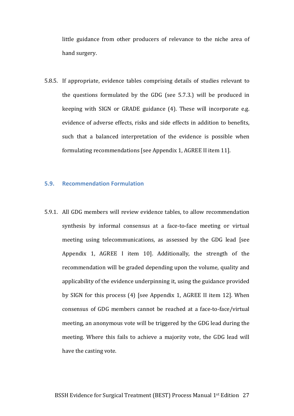little guidance from other producers of relevance to the niche area of hand surgery.

5.8.5. If appropriate, evidence tables comprising details of studies relevant to the questions formulated by the GDG (see 5.7.3.) will be produced in keeping with SIGN or GRADE guidance [\(4\)](#page-51-3). These will incorporate e.g. evidence of adverse effects, risks and side effects in addition to benefits, such that a balanced interpretation of the evidence is possible when formulating recommendations [see Appendix 1, AGREE II item 11].

# **5.9. Recommendation Formulation**

5.9.1. All GDG members will review evidence tables, to allow recommendation synthesis by informal consensus at a face-to-face meeting or virtual meeting using telecommunications, as assessed by the GDG lead [see Appendix 1, AGREE I item 10]. Additionally, the strength of the recommendation will be graded depending upon the volume, quality and applicability of the evidence underpinning it, using the guidance provided by SIGN for this process [\(4\)](#page-51-3) [see Appendix 1, AGREE II item 12]. When consensus of GDG members cannot be reached at a face-to-face/virtual meeting, an anonymous vote will be triggered by the GDG lead during the meeting. Where this fails to achieve a majority vote, the GDG lead will have the casting vote.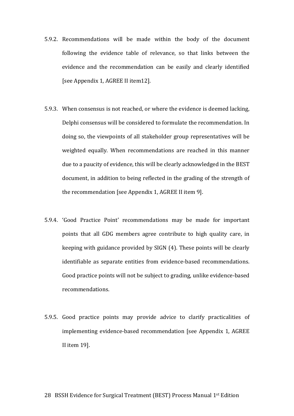- 5.9.2. Recommendations will be made within the body of the document following the evidence table of relevance, so that links between the evidence and the recommendation can be easily and clearly identified [see Appendix 1, AGREE II item12].
- 5.9.3. When consensus is not reached, or where the evidence is deemed lacking, Delphi consensus will be considered to formulate the recommendation. In doing so, the viewpoints of all stakeholder group representatives will be weighted equally. When recommendations are reached in this manner due to a paucity of evidence, this will be clearly acknowledged in the BEST document, in addition to being reflected in the grading of the strength of the recommendation [see Appendix 1, AGREE II item 9].
- 5.9.4. 'Good Practice Point' recommendations may be made for important points that all GDG members agree contribute to high quality care, in keeping with guidance provided by SIGN [\(4\)](#page-51-3). These points will be clearly identifiable as separate entities from evidence-based recommendations. Good practice points will not be subject to grading, unlike evidence-based recommendations.
- 5.9.5. Good practice points may provide advice to clarify practicalities of implementing evidence-based recommendation [see Appendix 1, AGREE II item 19].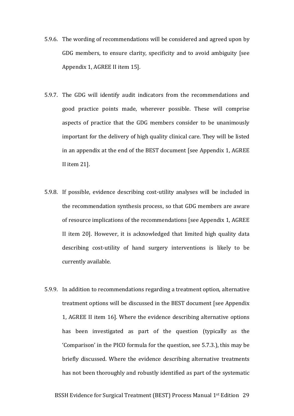- 5.9.6. The wording of recommendations will be considered and agreed upon by GDG members, to ensure clarity, specificity and to avoid ambiguity [see Appendix 1, AGREE II item 15].
- 5.9.7. The GDG will identify audit indicators from the recommendations and good practice points made, wherever possible. These will comprise aspects of practice that the GDG members consider to be unanimously important for the delivery of high quality clinical care. They will be listed in an appendix at the end of the BEST document [see Appendix 1, AGREE II item 21].
- 5.9.8. If possible, evidence describing cost-utility analyses will be included in the recommendation synthesis process, so that GDG members are aware of resource implications of the recommendations [see Appendix 1, AGREE II item 20]. However, it is acknowledged that limited high quality data describing cost-utility of hand surgery interventions is likely to be currently available.
- 5.9.9. In addition to recommendations regarding a treatment option, alternative treatment options will be discussed in the BEST document [see Appendix 1, AGREE II item 16]. Where the evidence describing alternative options has been investigated as part of the question (typically as the 'Comparison' in the PICO formula for the question, see 5.7.3.), this may be briefly discussed. Where the evidence describing alternative treatments has not been thoroughly and robustly identified as part of the systematic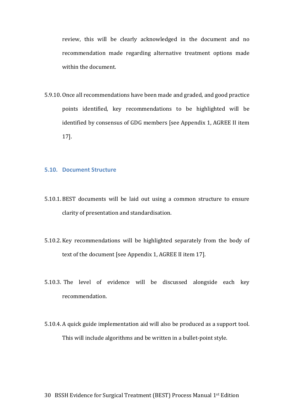review, this will be clearly acknowledged in the document and no recommendation made regarding alternative treatment options made within the document.

5.9.10. Once all recommendations have been made and graded, and good practice points identified, key recommendations to be highlighted will be identified by consensus of GDG members [see Appendix 1, AGREE II item 17].

# **5.10. Document Structure**

- 5.10.1. BEST documents will be laid out using a common structure to ensure clarity of presentation and standardisation.
- 5.10.2. Key recommendations will be highlighted separately from the body of text of the document [see Appendix 1, AGREE II item 17].
- 5.10.3. The level of evidence will be discussed alongside each key recommendation.
- 5.10.4. A quick guide implementation aid will also be produced as a support tool. This will include algorithms and be written in a bullet-point style.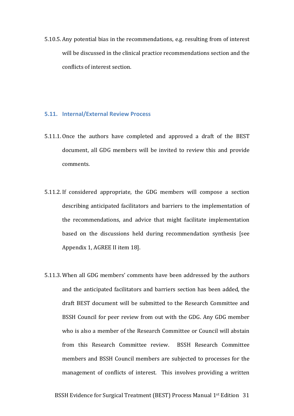5.10.5. Any potential bias in the recommendations, e.g. resulting from of interest will be discussed in the clinical practice recommendations section and the conflicts of interest section.

## **5.11. Internal/External Review Process**

- 5.11.1. Once the authors have completed and approved a draft of the BEST document, all GDG members will be invited to review this and provide comments.
- 5.11.2. If considered appropriate, the GDG members will compose a section describing anticipated facilitators and barriers to the implementation of the recommendations, and advice that might facilitate implementation based on the discussions held during recommendation synthesis [see Appendix 1, AGREE II item 18].
- 5.11.3. When all GDG members' comments have been addressed by the authors and the anticipated facilitators and barriers section has been added, the draft BEST document will be submitted to the Research Committee and BSSH Council for peer review from out with the GDG. Any GDG member who is also a member of the Research Committee or Council will abstain from this Research Committee review. BSSH Research Committee members and BSSH Council members are subjected to processes for the management of conflicts of interest. This involves providing a written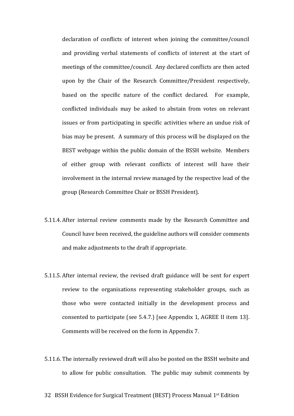declaration of conflicts of interest when joining the committee/council and providing verbal statements of conflicts of interest at the start of meetings of the committee/council. Any declared conflicts are then acted upon by the Chair of the Research Committee/President respectively, based on the specific nature of the conflict declared. For example, conflicted individuals may be asked to abstain from votes on relevant issues or from participating in specific activities where an undue risk of bias may be present. A summary of this process will be displayed on the BEST webpage within the public domain of the BSSH website. Members of either group with relevant conflicts of interest will have their involvement in the internal review managed by the respective lead of the group (Research Committee Chair or BSSH President).

- 5.11.4. After internal review comments made by the Research Committee and Council have been received, the guideline authors will consider comments and make adjustments to the draft if appropriate.
- 5.11.5. After internal review, the revised draft guidance will be sent for expert review to the organisations representing stakeholder groups, such as those who were contacted initially in the development process and consented to participate (see 5.4.7.) [see Appendix 1, AGREE II item 13]. Comments will be received on the form in Appendix 7.
- 5.11.6. The internally reviewed draft will also be posted on the BSSH website and to allow for public consultation. The public may submit comments by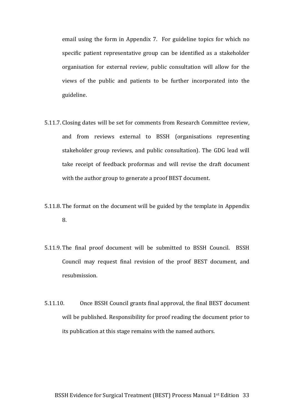email using the form in Appendix 7. For guideline topics for which no specific patient representative group can be identified as a stakeholder organisation for external review, public consultation will allow for the views of the public and patients to be further incorporated into the guideline.

- 5.11.7. Closing dates will be set for comments from Research Committee review, and from reviews external to BSSH (organisations representing stakeholder group reviews, and public consultation). The GDG lead will take receipt of feedback proformas and will revise the draft document with the author group to generate a proof BEST document.
- 5.11.8. The format on the document will be guided by the template in Appendix 8.
- 5.11.9. The final proof document will be submitted to BSSH Council. BSSH Council may request final revision of the proof BEST document, and resubmission.
- 5.11.10. Once BSSH Council grants final approval, the final BEST document will be published. Responsibility for proof reading the document prior to its publication at this stage remains with the named authors.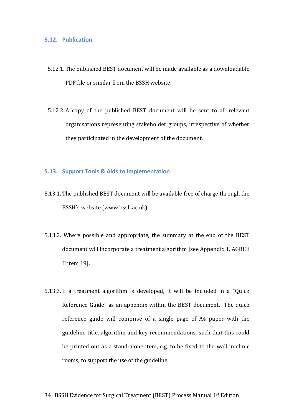### **5.12. Publication**

- 5.12.1. The published BEST document will be made available as a downloadable PDF file or similar from the BSSH website.
- 5.12.2. A copy of the published BEST document will be sent to all relevant organisations representing stakeholder groups, irrespective of whether they participated in the development of the document.

# **5.13. Support Tools & Aids to Implementation**

- 5.13.1. The published BEST document will be available free of charge through the BSSH's website (www.bssh.ac.uk).
- 5.13.2. Where possible and appropriate, the summary at the end of the BEST document will incorporate a treatment algorithm [see Appendix 1, AGREE II item 19].
- 5.13.3. If a treatment algorithm is developed, it will be included in a "Quick Reference Guide" as an appendix within the BEST document. The quick reference guide will comprise of a single page of A4 paper with the guideline title, algorithm and key recommendations, such that this could be printed out as a stand-alone item, e.g. to be fixed to the wall in clinic rooms, to support the use of the guideline.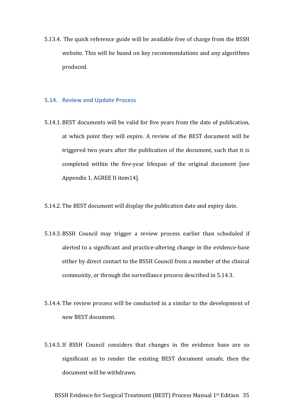5.13.4. The quick reference guide will be available free of charge from the BSSH website. This will be based on key recommendations and any algorithms produced.

# **5.14. Review and Update Process**

- 5.14.1. BEST documents will be valid for five years from the date of publication, at which point they will expire. A review of the BEST document will be triggered two years after the publication of the document, such that it is completed within the five-year lifespan of the original document [see Appendix 1, AGREE II item14].
- 5.14.2. The BEST document will display the publication date and expiry date.
- 5.14.3. BSSH Council may trigger a review process earlier than scheduled if alerted to a significant and practice-altering change in the evidence-base either by direct contact to the BSSH Council from a member of the clinical community, or through the surveillance process described in 5.14.3.
- 5.14.4. The review process will be conducted in a similar to the development of new BEST document.
- 5.14.5. If BSSH Council considers that changes in the evidence base are so significant as to render the existing BEST document unsafe, then the document will be withdrawn.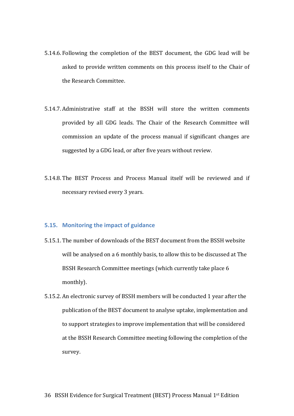- 5.14.6. Following the completion of the BEST document, the GDG lead will be asked to provide written comments on this process itself to the Chair of the Research Committee.
- 5.14.7. Administrative staff at the BSSH will store the written comments provided by all GDG leads. The Chair of the Research Committee will commission an update of the process manual if significant changes are suggested by a GDG lead, or after five years without review.
- 5.14.8. The BEST Process and Process Manual itself will be reviewed and if necessary revised every 3 years.

## **5.15. Monitoring the impact of guidance**

- 5.15.1. The number of downloads of the BEST document from the BSSH website will be analysed on a 6 monthly basis, to allow this to be discussed at The BSSH Research Committee meetings (which currently take place 6 monthly).
- 5.15.2. An electronic survey of BSSH members will be conducted 1 year after the publication of the BEST document to analyse uptake, implementation and to support strategies to improve implementation that will be considered at the BSSH Research Committee meeting following the completion of the survey.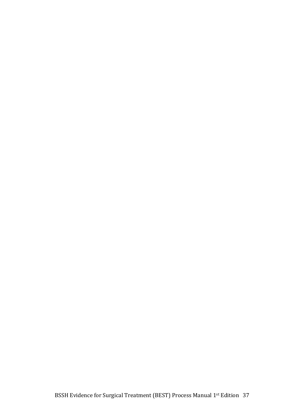BSSH Evidence for Surgical Treatment (BEST) Process Manual 1st Edition 37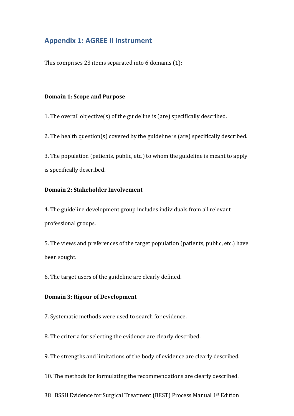# **Appendix 1: AGREE II Instrument**

This comprises 23 items separated into 6 domains [\(1\)](#page-51-0):

# **Domain 1: Scope and Purpose**

1. The overall objective(s) of the guideline is (are) specifically described.

2. The health question(s) covered by the guideline is (are) specifically described.

3. The population (patients, public, etc.) to whom the guideline is meant to apply is specifically described.

# **Domain 2: Stakeholder Involvement**

4. The guideline development group includes individuals from all relevant professional groups.

5. The views and preferences of the target population (patients, public, etc.) have been sought.

6. The target users of the guideline are clearly defined.

# **Domain 3: Rigour of Development**

7. Systematic methods were used to search for evidence.

8. The criteria for selecting the evidence are clearly described.

9. The strengths and limitations of the body of evidence are clearly described.

10. The methods for formulating the recommendations are clearly described.

38 BSSH Evidence for Surgical Treatment (BEST) Process Manual 1st Edition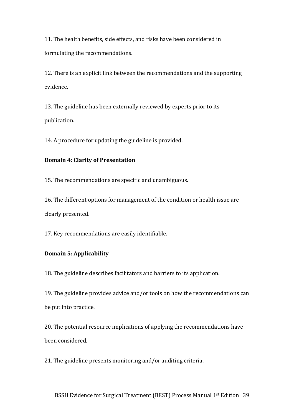11. The health benefits, side effects, and risks have been considered in formulating the recommendations.

12. There is an explicit link between the recommendations and the supporting evidence.

13. The guideline has been externally reviewed by experts prior to its publication.

14. A procedure for updating the guideline is provided.

# **Domain 4: Clarity of Presentation**

15. The recommendations are specific and unambiguous.

16. The different options for management of the condition or health issue are clearly presented.

17. Key recommendations are easily identifiable.

# **Domain 5: Applicability**

18. The guideline describes facilitators and barriers to its application.

19. The guideline provides advice and/or tools on how the recommendations can be put into practice.

20. The potential resource implications of applying the recommendations have been considered.

21. The guideline presents monitoring and/or auditing criteria.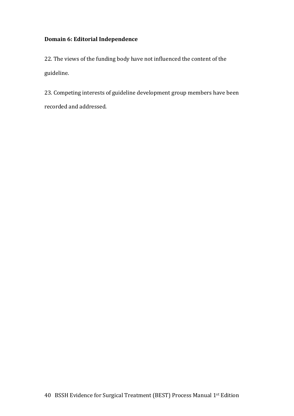# **Domain 6: Editorial Independence**

22. The views of the funding body have not influenced the content of the guideline.

23. Competing interests of guideline development group members have been recorded and addressed.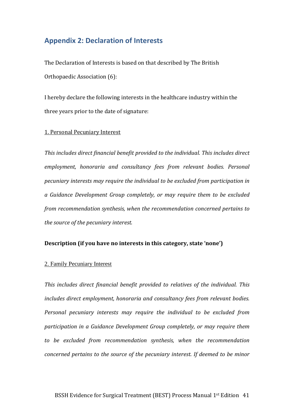# **Appendix 2: Declaration of Interests**

The Declaration of Interests is based on that described by The British Orthopaedic Association [\(6\)](#page-51-5):

I hereby declare the following interests in the healthcare industry within the three years prior to the date of signature:

#### 1. Personal Pecuniary Interest

*This includes direct financial benefit provided to the individual. This includes direct employment, honoraria and consultancy fees from relevant bodies. Personal pecuniary interests may require the individual to be excluded from participation in a Guidance Development Group completely, or may require them to be excluded from recommendation synthesis, when the recommendation concerned pertains to the source of the pecuniary interest.*

### **Description (if you have no interests in this category, state 'none')**

#### 2. Family Pecuniary Interest

*This includes direct financial benefit provided to relatives of the individual. This includes direct employment, honoraria and consultancy fees from relevant bodies. Personal pecuniary interests may require the individual to be excluded from participation in a Guidance Development Group completely, or may require them to be excluded from recommendation synthesis, when the recommendation concerned pertains to the source of the pecuniary interest. If deemed to be minor*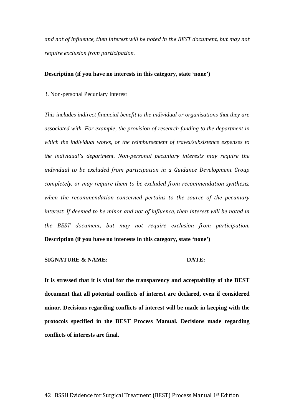*and not of influence, then interest will be noted in the BEST document, but may not require exclusion from participation.*

#### **Description (if you have no interests in this category, state 'none')**

#### 3. Non-personal Pecuniary Interest

*This includes indirect financial benefit to the individual or organisations that they are associated with. For example, the provision of research funding to the department in which the individual works, or the reimbursement of travel/subsistence expenses to the individual's department. Non-personal pecuniary interests may require the individual to be excluded from participation in a Guidance Development Group completely, or may require them to be excluded from recommendation synthesis, when the recommendation concerned pertains to the source of the pecuniary interest. If deemed to be minor and not of influence, then interest will be noted in the BEST document, but may not require exclusion from participation.* **Description (if you have no interests in this category, state 'none')**

#### **SIGNATURE & NAME:**  $\bullet$  **DATE:**  $\bullet$  **DATE:**  $\bullet$

**It is stressed that it is vital for the transparency and acceptability of the BEST document that all potential conflicts of interest are declared, even if considered minor. Decisions regarding conflicts of interest will be made in keeping with the protocols specified in the BEST Process Manual. Decisions made regarding conflicts of interests are final.**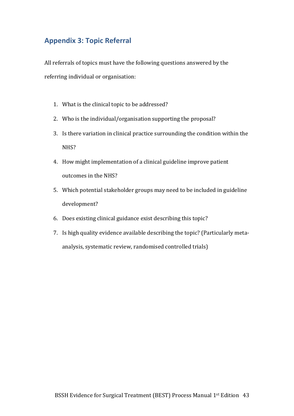# **Appendix 3: Topic Referral**

All referrals of topics must have the following questions answered by the referring individual or organisation:

- 1. What is the clinical topic to be addressed?
- 2. Who is the individual/organisation supporting the proposal?
- 3. Is there variation in clinical practice surrounding the condition within the NHS?
- 4. How might implementation of a clinical guideline improve patient outcomes in the NHS?
- 5. Which potential stakeholder groups may need to be included in guideline development?
- 6. Does existing clinical guidance exist describing this topic?
- 7. Is high quality evidence available describing the topic? (Particularly metaanalysis, systematic review, randomised controlled trials)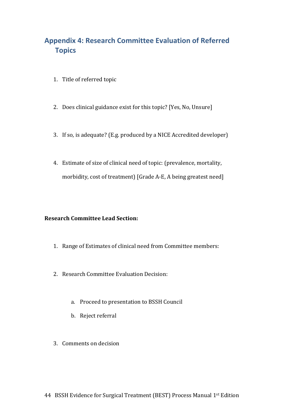# **Appendix 4: Research Committee Evaluation of Referred Topics**

- 1. Title of referred topic
- 2. Does clinical guidance exist for this topic? [Yes, No, Unsure]
- 3. If so, is adequate? (E.g. produced by a NICE Accredited developer)
- 4. Estimate of size of clinical need of topic: (prevalence, mortality, morbidity, cost of treatment) [Grade A-E, A being greatest need]

# **Research Committee Lead Section:**

- 1. Range of Estimates of clinical need from Committee members:
- 2. Research Committee Evaluation Decision:
	- a. Proceed to presentation to BSSH Council
	- b. Reject referral
- 3. Comments on decision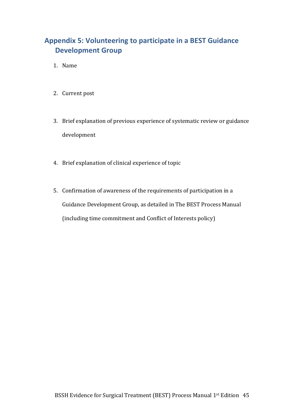# **Appendix 5: Volunteering to participate in a BEST Guidance Development Group**

- 1. Name
- 2. Current post
- 3. Brief explanation of previous experience of systematic review or guidance development
- 4. Brief explanation of clinical experience of topic
- 5. Confirmation of awareness of the requirements of participation in a Guidance Development Group, as detailed in The BEST Process Manual (including time commitment and Conflict of Interests policy)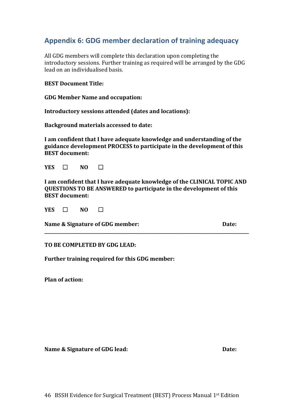# **Appendix 6: GDG member declaration of training adequacy**

All GDG members will complete this declaration upon completing the introductory sessions. Further training as required will be arranged by the GDG lead on an individualised basis.

**BEST Document Title:**

**GDG Member Name and occupation:**

**Introductory sessions attended (dates and locations):**

**Background materials accessed to date:**

**I am confident that I have adequate knowledge and understanding of the guidance development PROCESS to participate in the development of this BEST document:**

**YES** ☐ **NO** ☐

**I am confident that I have adequate knowledge of the CLINICAL TOPIC AND QUESTIONS TO BE ANSWERED to participate in the development of this BEST document:**

**\_\_\_\_\_\_\_\_\_\_\_\_\_\_\_\_\_\_\_\_\_\_\_\_\_\_\_\_\_\_\_\_\_\_\_\_\_\_\_\_\_\_\_\_\_\_\_\_\_\_\_\_\_\_\_\_\_\_\_\_\_\_\_\_\_\_\_\_\_\_\_\_\_\_\_\_\_\_\_\_\_\_\_\_\_\_\_\_\_\_\_\_\_**

**YES** ☐ **NO** ☐

**Name & Signature of GDG member:** Date:

**TO BE COMPLETED BY GDG LEAD:**

**Further training required for this GDG member:**

**Plan of action:**

**Name & Signature of GDG lead: Date: Date: Date:**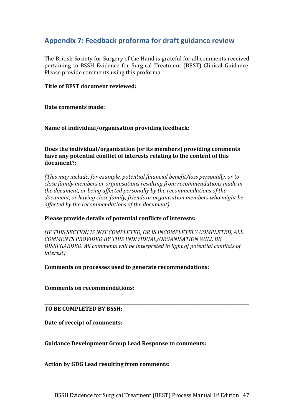# **Appendix 7: Feedback proforma for draft guidance review**

The British Society for Surgery of the Hand is grateful for all comments received pertaining to BSSH Evidence for Surgical Treatment (BEST) Clinical Guidance. Please provide comments using this proforma.

# **Title of BEST document reviewed:**

**Date comments made:**

**Name of individual/organisation providing feedback:**

**Does the individual/organisation (or its members) providing comments have any potential conflict of interests relating to the content of this document?:**

*(This may include, for example, potential financial benefit/loss personally, or to close family members or organisations resulting from recommendations made in the document, or being affected personally by the recommendations of the document, or having close family, friends or organisation members who might be affected by the recommendations of the document)*

# **Please provide details of potential conflicts of interests:**

*(IF THIS SECTION IS NOT COMPLETED, OR IS INCOMPLETELY COMPLETED, ALL COMMENTS PROVIDED BY THIS INDIVIDUAL/ORGANISATION WILL BE DISREGARDED. All comments will be interpreted in light of potential conflicts of interest)*

**\_\_\_\_\_\_\_\_\_\_\_\_\_\_\_\_\_\_\_\_\_\_\_\_\_\_\_\_\_\_\_\_\_\_\_\_\_\_\_\_\_\_\_\_\_\_\_\_\_\_\_\_\_\_\_\_\_\_\_\_\_\_\_\_\_\_\_\_\_\_\_\_\_\_\_\_\_\_\_\_\_\_\_\_\_\_\_\_\_\_\_\_\_**

**Comments on processes used to generate recommendations:**

**Comments on recommendations:**

# **TO BE COMPLETED BY BSSH:**

**Date of receipt of comments:**

**Guidance Development Group Lead Response to comments:**

**Action by GDG Lead resulting from comments:**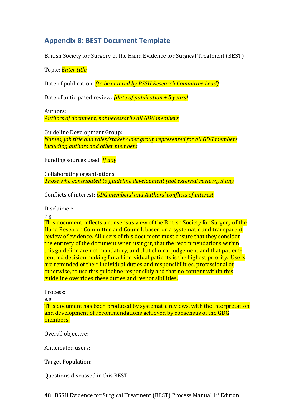# **Appendix 8: BEST Document Template**

British Society for Surgery of the Hand Evidence for Surgical Treatment (BEST)

Topic: *Enter title*

Date of publication: *(to be entered by BSSH Research Committee Lead)*

Date of anticipated review: *(date of publication + 5 years)*

Authors:

*Authors of document, not necessarily all GDG members*

Guideline Development Group:

*Names, job title and roles/stakeholder group represented for all GDG members including authors and other members*

Funding sources used: *If any*

Collaborating organisations: *Those who contributed to guideline development (not external review), if any*

Conflicts of interest: *GDG members' and Authors' conflicts of interest*

Disclaimer:

e.g.

This document reflects a consensus view of the British Society for Surgery of the Hand Research Committee and Council, based on a systematic and transparent review of evidence. All users of this document must ensure that they consider the entirety of the document when using it, that the recommendations within this guideline are not mandatory, and that clinical judgement and that patientcentred decision making for all individual patients is the highest priority. Users are reminded of their individual duties and responsibilities, professional or otherwise, to use this guideline responsibly and that no content within this guideline overrides these duties and responsibilities.

Process:

e.g.

This document has been produced by systematic reviews, with the interpretation and development of recommendations achieved by consensus of the GDG members.

Overall objective:

Anticipated users:

Target Population:

Questions discussed in this BEST: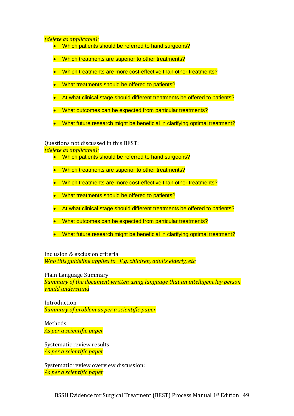*(delete as applicable):*

- Which patients should be referred to hand surgeons?
- Which treatments are superior to other treatments?
- Which treatments are more cost-effective than other treatments?
- What treatments should be offered to patients?
- At what clinical stage should different treatments be offered to patients?
- What outcomes can be expected from particular treatments?
- What future research might be beneficial in clarifying optimal treatment?

Questions not discussed in this BEST:

*(delete as applicable):*

- Which patients should be referred to hand surgeons?
- Which treatments are superior to other treatments?
- Which treatments are more cost-effective than other treatments?
- What treatments should be offered to patients?
- At what clinical stage should different treatments be offered to patients?
- What outcomes can be expected from particular treatments?
- What future research might be beneficial in clarifying optimal treatment?

Inclusion & exclusion criteria *Who this guideline applies to. E.g. children, adults elderly, etc*

Plain Language Summary

*Summary of the document written using language that an intelligent lay person would understand*

Introduction *Summary of problem as per a scientific paper*

Methods *As per a scientific paper*

Systematic review results *As per a scientific paper*

Systematic review overview discussion: *As per a scientific paper*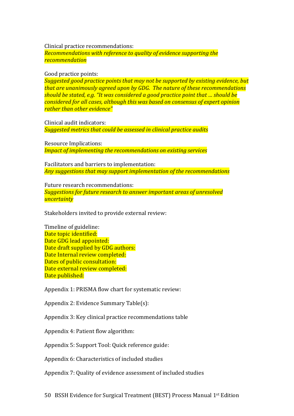Clinical practice recommendations:

*Recommendations with reference to quality of evidence supporting the recommendation*

Good practice points:

*Suggested good practice points that may not be supported by existing evidence, but that are unanimously agreed upon by GDG. The nature of these recommendations should be stated, e.g. "It was considered a good practice point that … should be considered for all cases, although this was based on consensus of expert opinion rather than other evidence"*

Clinical audit indicators: *Suggested metrics that could be assessed in clinical practice audits*

Resource Implications: *Impact of implementing the recommendations on existing services*

Facilitators and barriers to implementation: *Any suggestions that may support implementation of the recommendations*

Future research recommendations: *Suggestions for future research to answer important areas of unresolved uncertainty*

Stakeholders invited to provide external review:

Timeline of guideline: Date topic identified: Date GDG lead appointed: Date draft supplied by GDG authors: Date Internal review completed: Dates of public consultation: Date external review completed: Date published:

Appendix 1: PRISMA flow chart for systematic review:

Appendix 2: Evidence Summary Table(s):

Appendix 3: Key clinical practice recommendations table

Appendix 4: Patient flow algorithm:

Appendix 5: Support Tool: Quick reference guide:

Appendix 6: Characteristics of included studies

Appendix 7: Quality of evidence assessment of included studies